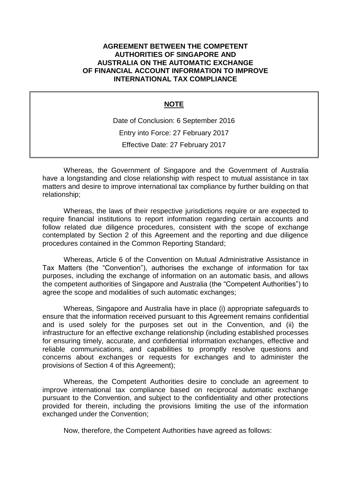#### **AGREEMENT BETWEEN THE COMPETENT AUTHORITIES OF SINGAPORE AND AUSTRALIA ON THE AUTOMATIC EXCHANGE OF FINANCIAL ACCOUNT INFORMATION TO IMPROVE INTERNATIONAL TAX COMPLIANCE**

### **NOTE**

Date of Conclusion: 6 September 2016 Entry into Force: 27 February 2017 Effective Date: 27 February 2017

Whereas, the Government of Singapore and the Government of Australia have a longstanding and close relationship with respect to mutual assistance in tax matters and desire to improve international tax compliance by further building on that relationship;

Whereas, the laws of their respective jurisdictions require or are expected to require financial institutions to report information regarding certain accounts and follow related due diligence procedures, consistent with the scope of exchange contemplated by Section 2 of this Agreement and the reporting and due diligence procedures contained in the Common Reporting Standard;

Whereas, Article 6 of the Convention on Mutual Administrative Assistance in Tax Matters (the "Convention"), authorises the exchange of information for tax purposes, including the exchange of information on an automatic basis, and allows the competent authorities of Singapore and Australia (the "Competent Authorities") to agree the scope and modalities of such automatic exchanges;

Whereas, Singapore and Australia have in place (i) appropriate safeguards to ensure that the information received pursuant to this Agreement remains confidential and is used solely for the purposes set out in the Convention, and (ii) the infrastructure for an effective exchange relationship (including established processes for ensuring timely, accurate, and confidential information exchanges, effective and reliable communications, and capabilities to promptly resolve questions and concerns about exchanges or requests for exchanges and to administer the provisions of Section 4 of this Agreement);

Whereas, the Competent Authorities desire to conclude an agreement to improve international tax compliance based on reciprocal automatic exchange pursuant to the Convention, and subject to the confidentiality and other protections provided for therein, including the provisions limiting the use of the information exchanged under the Convention;

Now, therefore, the Competent Authorities have agreed as follows: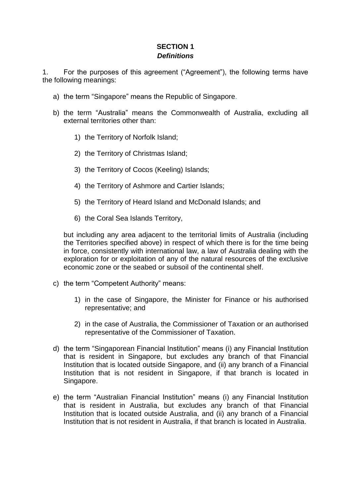## **SECTION 1** *Definitions*

1. For the purposes of this agreement ("Agreement"), the following terms have the following meanings:

- a) the term "Singapore" means the Republic of Singapore.
- b) the term "Australia" means the Commonwealth of Australia, excluding all external territories other than:
	- 1) the Territory of Norfolk Island;
	- 2) the Territory of Christmas Island;
	- 3) the Territory of Cocos (Keeling) Islands;
	- 4) the Territory of Ashmore and Cartier Islands;
	- 5) the Territory of Heard Island and McDonald Islands; and
	- 6) the Coral Sea Islands Territory,

but including any area adjacent to the territorial limits of Australia (including the Territories specified above) in respect of which there is for the time being in force, consistently with international law, a law of Australia dealing with the exploration for or exploitation of any of the natural resources of the exclusive economic zone or the seabed or subsoil of the continental shelf.

- c) the term "Competent Authority" means:
	- 1) in the case of Singapore, the Minister for Finance or his authorised representative; and
	- 2) in the case of Australia, the Commissioner of Taxation or an authorised representative of the Commissioner of Taxation.
- d) the term "Singaporean Financial Institution" means (i) any Financial Institution that is resident in Singapore, but excludes any branch of that Financial Institution that is located outside Singapore, and (ii) any branch of a Financial Institution that is not resident in Singapore, if that branch is located in Singapore.
- e) the term "Australian Financial Institution" means (i) any Financial Institution that is resident in Australia, but excludes any branch of that Financial Institution that is located outside Australia, and (ii) any branch of a Financial Institution that is not resident in Australia, if that branch is located in Australia.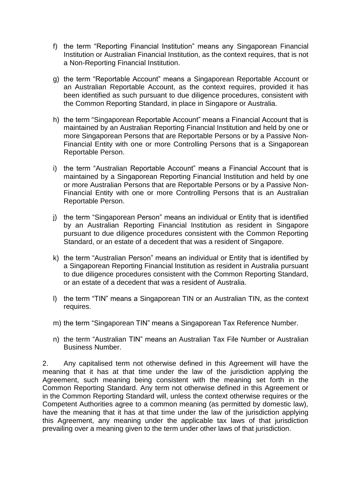- f) the term "Reporting Financial Institution" means any Singaporean Financial Institution or Australian Financial Institution, as the context requires, that is not a Non-Reporting Financial Institution.
- g) the term "Reportable Account" means a Singaporean Reportable Account or an Australian Reportable Account, as the context requires, provided it has been identified as such pursuant to due diligence procedures, consistent with the Common Reporting Standard, in place in Singapore or Australia.
- h) the term "Singaporean Reportable Account" means a Financial Account that is maintained by an Australian Reporting Financial Institution and held by one or more Singaporean Persons that are Reportable Persons or by a Passive Non-Financial Entity with one or more Controlling Persons that is a Singaporean Reportable Person.
- i) the term "Australian Reportable Account" means a Financial Account that is maintained by a Singaporean Reporting Financial Institution and held by one or more Australian Persons that are Reportable Persons or by a Passive Non-Financial Entity with one or more Controlling Persons that is an Australian Reportable Person.
- j) the term "Singaporean Person" means an individual or Entity that is identified by an Australian Reporting Financial Institution as resident in Singapore pursuant to due diligence procedures consistent with the Common Reporting Standard, or an estate of a decedent that was a resident of Singapore.
- k) the term "Australian Person" means an individual or Entity that is identified by a Singaporean Reporting Financial Institution as resident in Australia pursuant to due diligence procedures consistent with the Common Reporting Standard, or an estate of a decedent that was a resident of Australia.
- l) the term "TIN" means a Singaporean TIN or an Australian TIN, as the context requires.
- m) the term "Singaporean TIN" means a Singaporean Tax Reference Number.
- n) the term "Australian TIN" means an Australian Tax File Number or Australian Business Number.

2. Any capitalised term not otherwise defined in this Agreement will have the meaning that it has at that time under the law of the jurisdiction applying the Agreement, such meaning being consistent with the meaning set forth in the Common Reporting Standard. Any term not otherwise defined in this Agreement or in the Common Reporting Standard will, unless the context otherwise requires or the Competent Authorities agree to a common meaning (as permitted by domestic law), have the meaning that it has at that time under the law of the jurisdiction applying this Agreement, any meaning under the applicable tax laws of that jurisdiction prevailing over a meaning given to the term under other laws of that jurisdiction.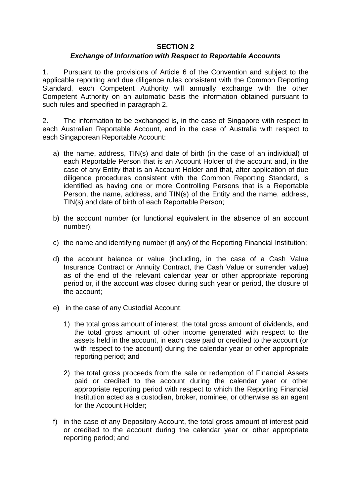### **SECTION 2**

#### *Exchange of Information with Respect to Reportable Accounts*

1. Pursuant to the provisions of Article 6 of the Convention and subject to the applicable reporting and due diligence rules consistent with the Common Reporting Standard, each Competent Authority will annually exchange with the other Competent Authority on an automatic basis the information obtained pursuant to such rules and specified in paragraph 2.

2. The information to be exchanged is, in the case of Singapore with respect to each Australian Reportable Account, and in the case of Australia with respect to each Singaporean Reportable Account:

- a) the name, address, TIN(s) and date of birth (in the case of an individual) of each Reportable Person that is an Account Holder of the account and, in the case of any Entity that is an Account Holder and that, after application of due diligence procedures consistent with the Common Reporting Standard, is identified as having one or more Controlling Persons that is a Reportable Person, the name, address, and TIN(s) of the Entity and the name, address, TIN(s) and date of birth of each Reportable Person;
- b) the account number (or functional equivalent in the absence of an account number);
- c) the name and identifying number (if any) of the Reporting Financial Institution;
- d) the account balance or value (including, in the case of a Cash Value Insurance Contract or Annuity Contract, the Cash Value or surrender value) as of the end of the relevant calendar year or other appropriate reporting period or, if the account was closed during such year or period, the closure of the account;
- e) in the case of any Custodial Account:
	- 1) the total gross amount of interest, the total gross amount of dividends, and the total gross amount of other income generated with respect to the assets held in the account, in each case paid or credited to the account (or with respect to the account) during the calendar year or other appropriate reporting period; and
	- 2) the total gross proceeds from the sale or redemption of Financial Assets paid or credited to the account during the calendar year or other appropriate reporting period with respect to which the Reporting Financial Institution acted as a custodian, broker, nominee, or otherwise as an agent for the Account Holder;
- f) in the case of any Depository Account, the total gross amount of interest paid or credited to the account during the calendar year or other appropriate reporting period; and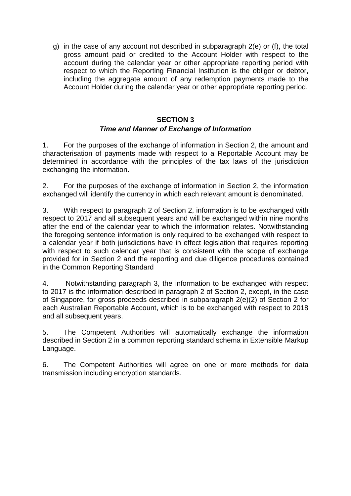g) in the case of any account not described in subparagraph 2(e) or (f), the total gross amount paid or credited to the Account Holder with respect to the account during the calendar year or other appropriate reporting period with respect to which the Reporting Financial Institution is the obligor or debtor, including the aggregate amount of any redemption payments made to the Account Holder during the calendar year or other appropriate reporting period.

# **SECTION 3** *Time and Manner of Exchange of Information*

1. For the purposes of the exchange of information in Section 2, the amount and characterisation of payments made with respect to a Reportable Account may be determined in accordance with the principles of the tax laws of the jurisdiction exchanging the information.

2. For the purposes of the exchange of information in Section 2, the information exchanged will identify the currency in which each relevant amount is denominated.

3. With respect to paragraph 2 of Section 2, information is to be exchanged with respect to 2017 and all subsequent years and will be exchanged within nine months after the end of the calendar year to which the information relates. Notwithstanding the foregoing sentence information is only required to be exchanged with respect to a calendar year if both jurisdictions have in effect legislation that requires reporting with respect to such calendar year that is consistent with the scope of exchange provided for in Section 2 and the reporting and due diligence procedures contained in the Common Reporting Standard

4. Notwithstanding paragraph 3, the information to be exchanged with respect to 2017 is the information described in paragraph 2 of Section 2, except, in the case of Singapore, for gross proceeds described in subparagraph 2(e)(2) of Section 2 for each Australian Reportable Account, which is to be exchanged with respect to 2018 and all subsequent years.

5. The Competent Authorities will automatically exchange the information described in Section 2 in a common reporting standard schema in Extensible Markup Language.

6. The Competent Authorities will agree on one or more methods for data transmission including encryption standards.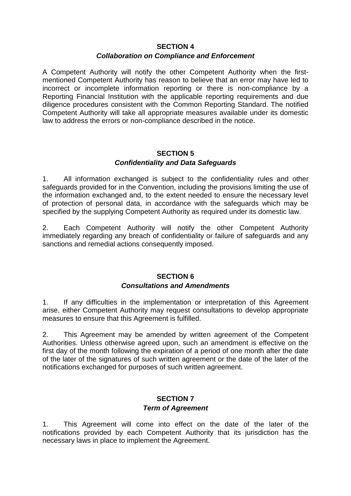#### **SECTION 4**

### *Collaboration on Compliance and Enforcement*

A Competent Authority will notify the other Competent Authority when the firstmentioned Competent Authority has reason to believe that an error may have led to incorrect or incomplete information reporting or there is non-compliance by a Reporting Financial Institution with the applicable reporting requirements and due diligence procedures consistent with the Common Reporting Standard. The notified Competent Authority will take all appropriate measures available under its domestic law to address the errors or non-compliance described in the notice.

## **SECTION 5** *Confidentiality and Data Safeguards*

1. All information exchanged is subject to the confidentiality rules and other safeguards provided for in the Convention, including the provisions limiting the use of the information exchanged and, to the extent needed to ensure the necessary level of protection of personal data, in accordance with the safeguards which may be specified by the supplying Competent Authority as required under its domestic law.

2. Each Competent Authority will notify the other Competent Authority immediately regarding any breach of confidentiality or failure of safeguards and any sanctions and remedial actions consequently imposed.

## **SECTION 6**

### *Consultations and Amendments*

1. If any difficulties in the implementation or interpretation of this Agreement arise, either Competent Authority may request consultations to develop appropriate measures to ensure that this Agreement is fulfilled.

2. This Agreement may be amended by written agreement of the Competent Authorities. Unless otherwise agreed upon, such an amendment is effective on the first day of the month following the expiration of a period of one month after the date of the later of the signatures of such written agreement or the date of the later of the notifications exchanged for purposes of such written agreement.

## **SECTION 7** *Term of Agreement*

1. This Agreement will come into effect on the date of the later of the notifications provided by each Competent Authority that its jurisdiction has the necessary laws in place to implement the Agreement.